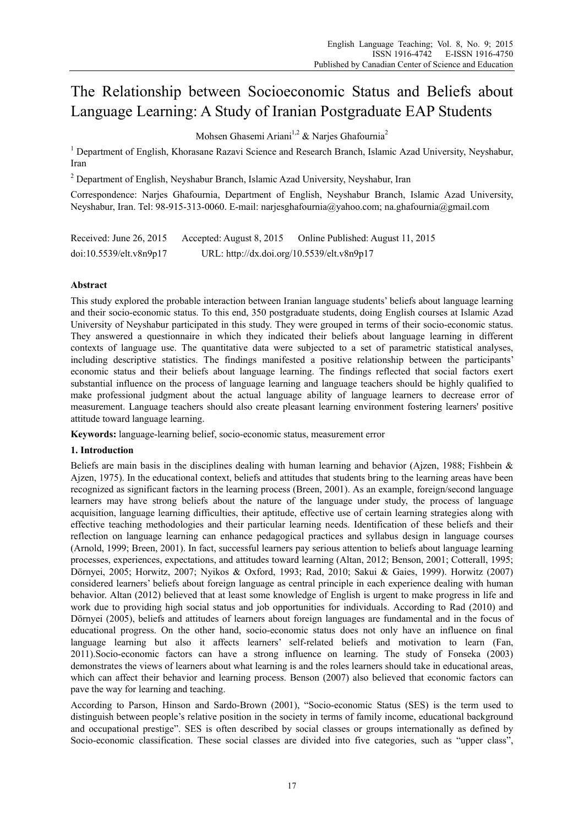# The Relationship between Socioeconomic Status and Beliefs about Language Learning: A Study of Iranian Postgraduate EAP Students

Mohsen Ghasemi Ariani<sup>1,2</sup> & Naries Ghafournia<sup>2</sup>

<sup>1</sup> Department of English, Khorasane Razavi Science and Research Branch, Islamic Azad University, Neyshabur, Iran

<sup>2</sup> Department of English, Neyshabur Branch, Islamic Azad University, Neyshabur, Iran

Correspondence: Narjes Ghafournia, Department of English, Neyshabur Branch, Islamic Azad University, Neyshabur, Iran. Tel: 98-915-313-0060. E-mail: narjesghafournia@yahoo.com; na.ghafournia@gmail.com

Received: June 26, 2015 Accepted: August 8, 2015 Online Published: August 11, 2015 doi:10.5539/elt.v8n9p17 URL: http://dx.doi.org/10.5539/elt.v8n9p17

# **Abstract**

This study explored the probable interaction between Iranian language students' beliefs about language learning and their socio-economic status. To this end, 350 postgraduate students, doing English courses at Islamic Azad University of Neyshabur participated in this study. They were grouped in terms of their socio-economic status. They answered a questionnaire in which they indicated their beliefs about language learning in different contexts of language use. The quantitative data were subjected to a set of parametric statistical analyses, including descriptive statistics. The findings manifested a positive relationship between the participants' economic status and their beliefs about language learning. The findings reflected that social factors exert substantial influence on the process of language learning and language teachers should be highly qualified to make professional judgment about the actual language ability of language learners to decrease error of measurement. Language teachers should also create pleasant learning environment fostering learners' positive attitude toward language learning.

**Keywords:** language-learning belief, socio-economic status, measurement error

# **1. Introduction**

Beliefs are main basis in the disciplines dealing with human learning and behavior (Ajzen, 1988; Fishbein & Ajzen, 1975). In the educational context, beliefs and attitudes that students bring to the learning areas have been recognized as significant factors in the learning process (Breen, 2001). As an example, foreign/second language learners may have strong beliefs about the nature of the language under study, the process of language acquisition, language learning difficulties, their aptitude, effective use of certain learning strategies along with effective teaching methodologies and their particular learning needs. Identification of these beliefs and their reflection on language learning can enhance pedagogical practices and syllabus design in language courses (Arnold, 1999; Breen, 2001). In fact, successful learners pay serious attention to beliefs about language learning processes, experiences, expectations, and attitudes toward learning (Altan, 2012; Benson, 2001; Cotterall, 1995; Dörnyei, 2005; Horwitz, 2007; Nyikos & Oxford, 1993; Rad, 2010; Sakui & Gaies, 1999). Horwitz (2007) considered learners' beliefs about foreign language as central principle in each experience dealing with human behavior. Altan (2012) believed that at least some knowledge of English is urgent to make progress in life and work due to providing high social status and job opportunities for individuals. According to Rad (2010) and Dörnyei (2005), beliefs and attitudes of learners about foreign languages are fundamental and in the focus of educational progress. On the other hand, socio-economic status does not only have an influence on final language learning but also it affects learners' self-related beliefs and motivation to learn (Fan, 2011).Socio-economic factors can have a strong influence on learning. The study of Fonseka (2003) demonstrates the views of learners about what learning is and the roles learners should take in educational areas, which can affect their behavior and learning process. Benson (2007) also believed that economic factors can pave the way for learning and teaching.

According to Parson, Hinson and Sardo-Brown (2001), "Socio-economic Status (SES) is the term used to distinguish between people's relative position in the society in terms of family income, educational background and occupational prestige". SES is often described by social classes or groups internationally as defined by Socio-economic classification. These social classes are divided into five categories, such as "upper class",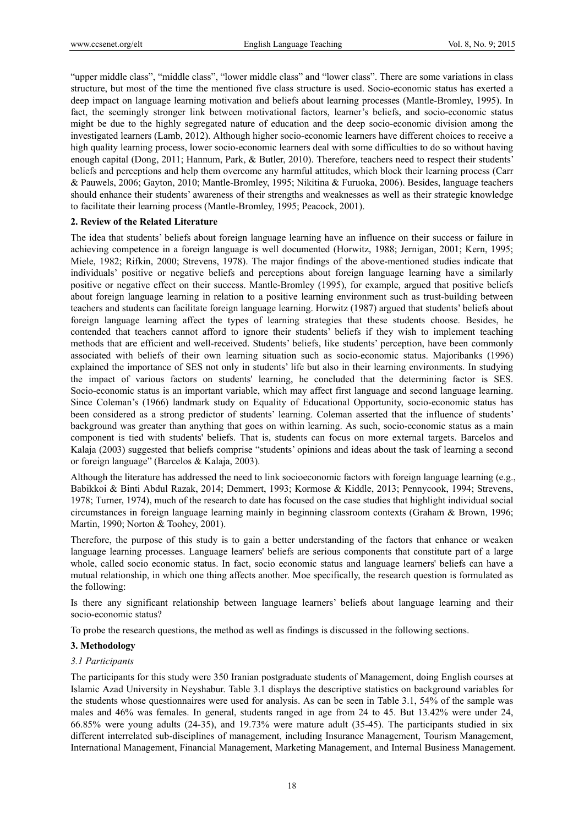"upper middle class", "middle class", "lower middle class" and "lower class". There are some variations in class structure, but most of the time the mentioned five class structure is used. Socio-economic status has exerted a deep impact on language learning motivation and beliefs about learning processes (Mantle-Bromley, 1995). In fact, the seemingly stronger link between motivational factors, learner's beliefs, and socio-economic status might be due to the highly segregated nature of education and the deep socio-economic division among the investigated learners (Lamb, 2012). Although higher socio-economic learners have different choices to receive a high quality learning process, lower socio-economic learners deal with some difficulties to do so without having enough capital (Dong, 2011; Hannum, Park, & Butler, 2010). Therefore, teachers need to respect their students' beliefs and perceptions and help them overcome any harmful attitudes, which block their learning process (Carr & Pauwels, 2006; Gayton, 2010; Mantle-Bromley, 1995; Nikitina & Furuoka, 2006). Besides, language teachers should enhance their students' awareness of their strengths and weaknesses as well as their strategic knowledge to facilitate their learning process (Mantle-Bromley, 1995; Peacock, 2001).

## **2. Review of the Related Literature**

The idea that students' beliefs about foreign language learning have an influence on their success or failure in achieving competence in a foreign language is well documented (Horwitz, 1988; Jernigan, 2001; Kern, 1995; Miele, 1982; Rifkin, 2000; Strevens, 1978). The major findings of the above-mentioned studies indicate that individuals' positive or negative beliefs and perceptions about foreign language learning have a similarly positive or negative effect on their success. Mantle-Bromley (1995), for example, argued that positive beliefs about foreign language learning in relation to a positive learning environment such as trust-building between teachers and students can facilitate foreign language learning. Horwitz (1987) argued that students' beliefs about foreign language learning affect the types of learning strategies that these students choose. Besides, he contended that teachers cannot afford to ignore their students' beliefs if they wish to implement teaching methods that are efficient and well-received. Students' beliefs, like students' perception, have been commonly associated with beliefs of their own learning situation such as socio-economic status. Majoribanks (1996) explained the importance of SES not only in students' life but also in their learning environments. In studying the impact of various factors on students' learning, he concluded that the determining factor is SES. Socio-economic status is an important variable, which may affect first language and second language learning. Since Coleman's (1966) landmark study on Equality of Educational Opportunity, socio-economic status has been considered as a strong predictor of students' learning. Coleman asserted that the influence of students' background was greater than anything that goes on within learning. As such, socio-economic status as a main component is tied with students' beliefs. That is, students can focus on more external targets. Barcelos and Kalaja (2003) suggested that beliefs comprise "students' opinions and ideas about the task of learning a second or foreign language" (Barcelos & Kalaja, 2003).

Although the literature has addressed the need to link socioeconomic factors with foreign language learning (e.g., Babikkoi & Binti Abdul Razak, 2014; Demmert, 1993; Kormose & Kiddle, 2013; Pennycook, 1994; Strevens, 1978; Turner, 1974), much of the research to date has focused on the case studies that highlight individual social circumstances in foreign language learning mainly in beginning classroom contexts (Graham & Brown, 1996; Martin, 1990; Norton & Toohey, 2001).

Therefore, the purpose of this study is to gain a better understanding of the factors that enhance or weaken language learning processes. Language learners' beliefs are serious components that constitute part of a large whole, called socio economic status. In fact, socio economic status and language learners' beliefs can have a mutual relationship, in which one thing affects another. Moe specifically, the research question is formulated as the following:

Is there any significant relationship between language learners' beliefs about language learning and their socio-economic status?

To probe the research questions, the method as well as findings is discussed in the following sections.

# **3. Methodology**

#### *3.1 Participants*

The participants for this study were 350 Iranian postgraduate students of Management, doing English courses at Islamic Azad University in Neyshabur. Table 3.1 displays the descriptive statistics on background variables for the students whose questionnaires were used for analysis. As can be seen in Table 3.1, 54% of the sample was males and 46% was females. In general, students ranged in age from 24 to 45. But 13.42% were under 24, 66.85% were young adults (24-35), and 19.73% were mature adult (35-45). The participants studied in six different interrelated sub-disciplines of management, including Insurance Management, Tourism Management, International Management, Financial Management, Marketing Management, and Internal Business Management.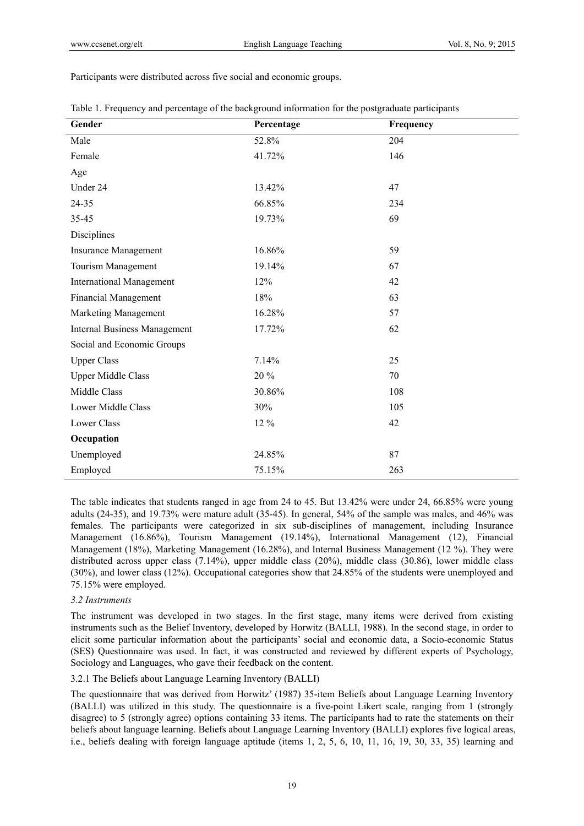Participants were distributed across five social and economic groups.

| Gender                              | Percentage | Frequency |
|-------------------------------------|------------|-----------|
| Male                                | 52.8%      | 204       |
| Female                              | 41.72%     | 146       |
| Age                                 |            |           |
| Under 24                            | 13.42%     | 47        |
| 24-35                               | 66.85%     | 234       |
| 35-45                               | 19.73%     | 69        |
| Disciplines                         |            |           |
| <b>Insurance Management</b>         | 16.86%     | 59        |
| Tourism Management                  | 19.14%     | 67        |
| <b>International Management</b>     | 12%        | 42        |
| <b>Financial Management</b>         | 18%        | 63        |
| Marketing Management                | 16.28%     | 57        |
| <b>Internal Business Management</b> | 17.72%     | 62        |
| Social and Economic Groups          |            |           |
| <b>Upper Class</b>                  | 7.14%      | 25        |
| <b>Upper Middle Class</b>           | 20%        | 70        |
| Middle Class                        | 30.86%     | 108       |
| <b>Lower Middle Class</b>           | 30%        | 105       |
| <b>Lower Class</b>                  | 12 %       | 42        |
| Occupation                          |            |           |
| Unemployed                          | 24.85%     | 87        |
| Employed                            | 75.15%     | 263       |

|  |  |  | Table 1. Frequency and percentage of the background information for the postgraduate participants |  |
|--|--|--|---------------------------------------------------------------------------------------------------|--|
|  |  |  |                                                                                                   |  |

The table indicates that students ranged in age from 24 to 45. But 13.42% were under 24, 66.85% were young adults (24-35), and 19.73% were mature adult (35-45). In general, 54% of the sample was males, and 46% was females. The participants were categorized in six sub-disciplines of management, including Insurance Management (16.86%), Tourism Management (19.14%), International Management (12), Financial Management (18%), Marketing Management (16.28%), and Internal Business Management (12 %). They were distributed across upper class (7.14%), upper middle class (20%), middle class (30.86), lower middle class (30%), and lower class (12%). Occupational categories show that 24.85% of the students were unemployed and 75.15% were employed.

## *3.2 Instruments*

The instrument was developed in two stages. In the first stage, many items were derived from existing instruments such as the Belief Inventory, developed by Horwitz (BALLI, 1988). In the second stage, in order to elicit some particular information about the participants' social and economic data, a Socio-economic Status (SES) Questionnaire was used. In fact, it was constructed and reviewed by different experts of Psychology, Sociology and Languages, who gave their feedback on the content.

### 3.2.1 The Beliefs about Language Learning Inventory (BALLI)

The questionnaire that was derived from Horwitz' (1987) 35-item Beliefs about Language Learning Inventory (BALLI) was utilized in this study. The questionnaire is a five-point Likert scale, ranging from 1 (strongly disagree) to 5 (strongly agree) options containing 33 items. The participants had to rate the statements on their beliefs about language learning. Beliefs about Language Learning Inventory (BALLI) explores five logical areas, i.e., beliefs dealing with foreign language aptitude (items 1, 2, 5, 6, 10, 11, 16, 19, 30, 33, 35) learning and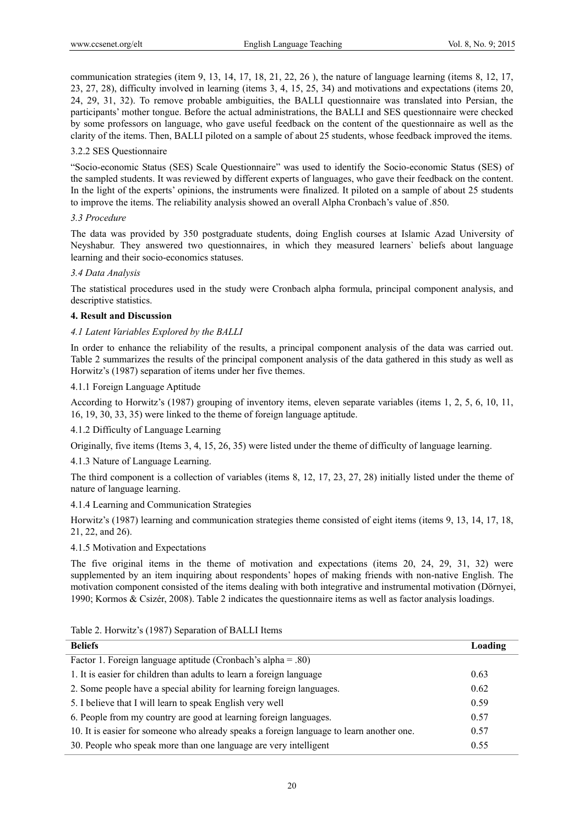communication strategies (item 9, 13, 14, 17, 18, 21, 22, 26 ), the nature of language learning (items 8, 12, 17, 23, 27, 28), difficulty involved in learning (items 3, 4, 15, 25, 34) and motivations and expectations (items 20, 24, 29, 31, 32). To remove probable ambiguities, the BALLI questionnaire was translated into Persian, the participants' mother tongue. Before the actual administrations, the BALLI and SES questionnaire were checked by some professors on language, who gave useful feedback on the content of the questionnaire as well as the clarity of the items. Then, BALLI piloted on a sample of about 25 students, whose feedback improved the items.

# 3.2.2 SES Questionnaire

"Socio-economic Status (SES) Scale Questionnaire" was used to identify the Socio-economic Status (SES) of the sampled students. It was reviewed by different experts of languages, who gave their feedback on the content. In the light of the experts' opinions, the instruments were finalized. It piloted on a sample of about 25 students to improve the items. The reliability analysis showed an overall Alpha Cronbach's value of .850.

## *3.3 Procedure*

The data was provided by 350 postgraduate students, doing English courses at Islamic Azad University of Neyshabur. They answered two questionnaires, in which they measured learners` beliefs about language learning and their socio-economics statuses.

# *3.4 Data Analysis*

The statistical procedures used in the study were Cronbach alpha formula, principal component analysis, and descriptive statistics.

# **4. Result and Discussion**

## *4.1 Latent Variables Explored by the BALLI*

In order to enhance the reliability of the results, a principal component analysis of the data was carried out. Table 2 summarizes the results of the principal component analysis of the data gathered in this study as well as Horwitz's (1987) separation of items under her five themes.

## 4.1.1 Foreign Language Aptitude

According to Horwitz's (1987) grouping of inventory items, eleven separate variables (items 1, 2, 5, 6, 10, 11, 16, 19, 30, 33, 35) were linked to the theme of foreign language aptitude.

#### 4.1.2 Difficulty of Language Learning

Originally, five items (Items 3, 4, 15, 26, 35) were listed under the theme of difficulty of language learning.

# 4.1.3 Nature of Language Learning.

The third component is a collection of variables (items 8, 12, 17, 23, 27, 28) initially listed under the theme of nature of language learning.

# 4.1.4 Learning and Communication Strategies

Horwitz's (1987) learning and communication strategies theme consisted of eight items (items 9, 13, 14, 17, 18, 21, 22, and 26).

4.1.5 Motivation and Expectations

The five original items in the theme of motivation and expectations (items 20, 24, 29, 31, 32) were supplemented by an item inquiring about respondents' hopes of making friends with non-native English. The motivation component consisted of the items dealing with both integrative and instrumental motivation (Dörnyei, 1990; Kormos & Csizér, 2008). Table 2 indicates the questionnaire items as well as factor analysis loadings.

| <b>Beliefs</b>                                                                           | Loading |
|------------------------------------------------------------------------------------------|---------|
| Factor 1. Foreign language aptitude (Cronbach's alpha = .80)                             |         |
| 1. It is easier for children than adults to learn a foreign language                     | 0.63    |
| 2. Some people have a special ability for learning foreign languages.                    | 0.62    |
| 5. I believe that I will learn to speak English very well                                | 0.59    |
| 6. People from my country are good at learning foreign languages.                        | 0.57    |
| 10. It is easier for someone who already speaks a foreign language to learn another one. | 0.57    |
| 30. People who speak more than one language are very intelligent                         | 0.55    |

Table 2. Horwitz's (1987) Separation of BALLI Items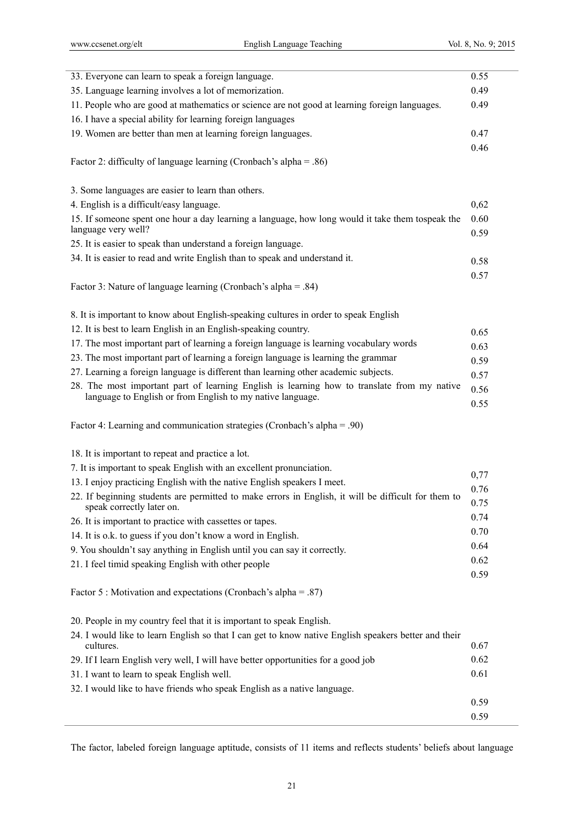| 35. Language learning involves a lot of memorization.<br>0.49<br>11. People who are good at mathematics or science are not good at learning foreign languages.<br>0.49<br>16. I have a special ability for learning foreign languages<br>19. Women are better than men at learning foreign languages.<br>0.47<br>0.46<br>Factor 2: difficulty of language learning (Cronbach's alpha = .86)<br>3. Some languages are easier to learn than others.<br>4. English is a difficult/easy language.<br>0,62<br>0.60<br>15. If someone spent one hour a day learning a language, how long would it take them tospeak the<br>language very well?<br>0.59<br>25. It is easier to speak than understand a foreign language.<br>34. It is easier to read and write English than to speak and understand it.<br>0.58<br>0.57<br>Factor 3: Nature of language learning (Cronbach's alpha = .84)<br>8. It is important to know about English-speaking cultures in order to speak English<br>12. It is best to learn English in an English-speaking country.<br>0.65<br>17. The most important part of learning a foreign language is learning vocabulary words<br>0.63<br>23. The most important part of learning a foreign language is learning the grammar<br>0.59<br>27. Learning a foreign language is different than learning other academic subjects.<br>0.57<br>28. The most important part of learning English is learning how to translate from my native<br>0.56<br>language to English or from English to my native language.<br>0.55<br>Factor 4: Learning and communication strategies (Cronbach's alpha = .90)<br>18. It is important to repeat and practice a lot.<br>7. It is important to speak English with an excellent pronunciation.<br>0,77<br>13. I enjoy practicing English with the native English speakers I meet.<br>0.76<br>22. If beginning students are permitted to make errors in English, it will be difficult for them to<br>0.75<br>speak correctly later on.<br>0.74<br>26. It is important to practice with cassettes or tapes.<br>0.70<br>14. It is o.k. to guess if you don't know a word in English.<br>0.64<br>9. You shouldn't say anything in English until you can say it correctly.<br>0.62<br>21. I feel timid speaking English with other people<br>0.59<br>Factor 5 : Motivation and expectations (Cronbach's alpha = .87)<br>20. People in my country feel that it is important to speak English.<br>24. I would like to learn English so that I can get to know native English speakers better and their<br>0.67<br>cultures.<br>0.62<br>29. If I learn English very well, I will have better opportunities for a good job<br>0.61<br>31. I want to learn to speak English well. | 33. Everyone can learn to speak a foreign language. | 0.55 |
|----------------------------------------------------------------------------------------------------------------------------------------------------------------------------------------------------------------------------------------------------------------------------------------------------------------------------------------------------------------------------------------------------------------------------------------------------------------------------------------------------------------------------------------------------------------------------------------------------------------------------------------------------------------------------------------------------------------------------------------------------------------------------------------------------------------------------------------------------------------------------------------------------------------------------------------------------------------------------------------------------------------------------------------------------------------------------------------------------------------------------------------------------------------------------------------------------------------------------------------------------------------------------------------------------------------------------------------------------------------------------------------------------------------------------------------------------------------------------------------------------------------------------------------------------------------------------------------------------------------------------------------------------------------------------------------------------------------------------------------------------------------------------------------------------------------------------------------------------------------------------------------------------------------------------------------------------------------------------------------------------------------------------------------------------------------------------------------------------------------------------------------------------------------------------------------------------------------------------------------------------------------------------------------------------------------------------------------------------------------------------------------------------------------------------------------------------------------------------------------------------------------------------------------------------------------------------------------------------------------------------------------------------------------------------------------------------------------------|-----------------------------------------------------|------|
|                                                                                                                                                                                                                                                                                                                                                                                                                                                                                                                                                                                                                                                                                                                                                                                                                                                                                                                                                                                                                                                                                                                                                                                                                                                                                                                                                                                                                                                                                                                                                                                                                                                                                                                                                                                                                                                                                                                                                                                                                                                                                                                                                                                                                                                                                                                                                                                                                                                                                                                                                                                                                                                                                                                      |                                                     |      |
|                                                                                                                                                                                                                                                                                                                                                                                                                                                                                                                                                                                                                                                                                                                                                                                                                                                                                                                                                                                                                                                                                                                                                                                                                                                                                                                                                                                                                                                                                                                                                                                                                                                                                                                                                                                                                                                                                                                                                                                                                                                                                                                                                                                                                                                                                                                                                                                                                                                                                                                                                                                                                                                                                                                      |                                                     |      |
|                                                                                                                                                                                                                                                                                                                                                                                                                                                                                                                                                                                                                                                                                                                                                                                                                                                                                                                                                                                                                                                                                                                                                                                                                                                                                                                                                                                                                                                                                                                                                                                                                                                                                                                                                                                                                                                                                                                                                                                                                                                                                                                                                                                                                                                                                                                                                                                                                                                                                                                                                                                                                                                                                                                      |                                                     |      |
|                                                                                                                                                                                                                                                                                                                                                                                                                                                                                                                                                                                                                                                                                                                                                                                                                                                                                                                                                                                                                                                                                                                                                                                                                                                                                                                                                                                                                                                                                                                                                                                                                                                                                                                                                                                                                                                                                                                                                                                                                                                                                                                                                                                                                                                                                                                                                                                                                                                                                                                                                                                                                                                                                                                      |                                                     |      |
|                                                                                                                                                                                                                                                                                                                                                                                                                                                                                                                                                                                                                                                                                                                                                                                                                                                                                                                                                                                                                                                                                                                                                                                                                                                                                                                                                                                                                                                                                                                                                                                                                                                                                                                                                                                                                                                                                                                                                                                                                                                                                                                                                                                                                                                                                                                                                                                                                                                                                                                                                                                                                                                                                                                      |                                                     |      |
|                                                                                                                                                                                                                                                                                                                                                                                                                                                                                                                                                                                                                                                                                                                                                                                                                                                                                                                                                                                                                                                                                                                                                                                                                                                                                                                                                                                                                                                                                                                                                                                                                                                                                                                                                                                                                                                                                                                                                                                                                                                                                                                                                                                                                                                                                                                                                                                                                                                                                                                                                                                                                                                                                                                      |                                                     |      |
|                                                                                                                                                                                                                                                                                                                                                                                                                                                                                                                                                                                                                                                                                                                                                                                                                                                                                                                                                                                                                                                                                                                                                                                                                                                                                                                                                                                                                                                                                                                                                                                                                                                                                                                                                                                                                                                                                                                                                                                                                                                                                                                                                                                                                                                                                                                                                                                                                                                                                                                                                                                                                                                                                                                      |                                                     |      |
|                                                                                                                                                                                                                                                                                                                                                                                                                                                                                                                                                                                                                                                                                                                                                                                                                                                                                                                                                                                                                                                                                                                                                                                                                                                                                                                                                                                                                                                                                                                                                                                                                                                                                                                                                                                                                                                                                                                                                                                                                                                                                                                                                                                                                                                                                                                                                                                                                                                                                                                                                                                                                                                                                                                      |                                                     |      |
|                                                                                                                                                                                                                                                                                                                                                                                                                                                                                                                                                                                                                                                                                                                                                                                                                                                                                                                                                                                                                                                                                                                                                                                                                                                                                                                                                                                                                                                                                                                                                                                                                                                                                                                                                                                                                                                                                                                                                                                                                                                                                                                                                                                                                                                                                                                                                                                                                                                                                                                                                                                                                                                                                                                      |                                                     |      |
|                                                                                                                                                                                                                                                                                                                                                                                                                                                                                                                                                                                                                                                                                                                                                                                                                                                                                                                                                                                                                                                                                                                                                                                                                                                                                                                                                                                                                                                                                                                                                                                                                                                                                                                                                                                                                                                                                                                                                                                                                                                                                                                                                                                                                                                                                                                                                                                                                                                                                                                                                                                                                                                                                                                      |                                                     |      |
|                                                                                                                                                                                                                                                                                                                                                                                                                                                                                                                                                                                                                                                                                                                                                                                                                                                                                                                                                                                                                                                                                                                                                                                                                                                                                                                                                                                                                                                                                                                                                                                                                                                                                                                                                                                                                                                                                                                                                                                                                                                                                                                                                                                                                                                                                                                                                                                                                                                                                                                                                                                                                                                                                                                      |                                                     |      |
|                                                                                                                                                                                                                                                                                                                                                                                                                                                                                                                                                                                                                                                                                                                                                                                                                                                                                                                                                                                                                                                                                                                                                                                                                                                                                                                                                                                                                                                                                                                                                                                                                                                                                                                                                                                                                                                                                                                                                                                                                                                                                                                                                                                                                                                                                                                                                                                                                                                                                                                                                                                                                                                                                                                      |                                                     |      |
|                                                                                                                                                                                                                                                                                                                                                                                                                                                                                                                                                                                                                                                                                                                                                                                                                                                                                                                                                                                                                                                                                                                                                                                                                                                                                                                                                                                                                                                                                                                                                                                                                                                                                                                                                                                                                                                                                                                                                                                                                                                                                                                                                                                                                                                                                                                                                                                                                                                                                                                                                                                                                                                                                                                      |                                                     |      |
|                                                                                                                                                                                                                                                                                                                                                                                                                                                                                                                                                                                                                                                                                                                                                                                                                                                                                                                                                                                                                                                                                                                                                                                                                                                                                                                                                                                                                                                                                                                                                                                                                                                                                                                                                                                                                                                                                                                                                                                                                                                                                                                                                                                                                                                                                                                                                                                                                                                                                                                                                                                                                                                                                                                      |                                                     |      |
|                                                                                                                                                                                                                                                                                                                                                                                                                                                                                                                                                                                                                                                                                                                                                                                                                                                                                                                                                                                                                                                                                                                                                                                                                                                                                                                                                                                                                                                                                                                                                                                                                                                                                                                                                                                                                                                                                                                                                                                                                                                                                                                                                                                                                                                                                                                                                                                                                                                                                                                                                                                                                                                                                                                      |                                                     |      |
|                                                                                                                                                                                                                                                                                                                                                                                                                                                                                                                                                                                                                                                                                                                                                                                                                                                                                                                                                                                                                                                                                                                                                                                                                                                                                                                                                                                                                                                                                                                                                                                                                                                                                                                                                                                                                                                                                                                                                                                                                                                                                                                                                                                                                                                                                                                                                                                                                                                                                                                                                                                                                                                                                                                      |                                                     |      |
|                                                                                                                                                                                                                                                                                                                                                                                                                                                                                                                                                                                                                                                                                                                                                                                                                                                                                                                                                                                                                                                                                                                                                                                                                                                                                                                                                                                                                                                                                                                                                                                                                                                                                                                                                                                                                                                                                                                                                                                                                                                                                                                                                                                                                                                                                                                                                                                                                                                                                                                                                                                                                                                                                                                      |                                                     |      |
|                                                                                                                                                                                                                                                                                                                                                                                                                                                                                                                                                                                                                                                                                                                                                                                                                                                                                                                                                                                                                                                                                                                                                                                                                                                                                                                                                                                                                                                                                                                                                                                                                                                                                                                                                                                                                                                                                                                                                                                                                                                                                                                                                                                                                                                                                                                                                                                                                                                                                                                                                                                                                                                                                                                      |                                                     |      |
|                                                                                                                                                                                                                                                                                                                                                                                                                                                                                                                                                                                                                                                                                                                                                                                                                                                                                                                                                                                                                                                                                                                                                                                                                                                                                                                                                                                                                                                                                                                                                                                                                                                                                                                                                                                                                                                                                                                                                                                                                                                                                                                                                                                                                                                                                                                                                                                                                                                                                                                                                                                                                                                                                                                      |                                                     |      |
|                                                                                                                                                                                                                                                                                                                                                                                                                                                                                                                                                                                                                                                                                                                                                                                                                                                                                                                                                                                                                                                                                                                                                                                                                                                                                                                                                                                                                                                                                                                                                                                                                                                                                                                                                                                                                                                                                                                                                                                                                                                                                                                                                                                                                                                                                                                                                                                                                                                                                                                                                                                                                                                                                                                      |                                                     |      |
|                                                                                                                                                                                                                                                                                                                                                                                                                                                                                                                                                                                                                                                                                                                                                                                                                                                                                                                                                                                                                                                                                                                                                                                                                                                                                                                                                                                                                                                                                                                                                                                                                                                                                                                                                                                                                                                                                                                                                                                                                                                                                                                                                                                                                                                                                                                                                                                                                                                                                                                                                                                                                                                                                                                      |                                                     |      |
|                                                                                                                                                                                                                                                                                                                                                                                                                                                                                                                                                                                                                                                                                                                                                                                                                                                                                                                                                                                                                                                                                                                                                                                                                                                                                                                                                                                                                                                                                                                                                                                                                                                                                                                                                                                                                                                                                                                                                                                                                                                                                                                                                                                                                                                                                                                                                                                                                                                                                                                                                                                                                                                                                                                      |                                                     |      |
|                                                                                                                                                                                                                                                                                                                                                                                                                                                                                                                                                                                                                                                                                                                                                                                                                                                                                                                                                                                                                                                                                                                                                                                                                                                                                                                                                                                                                                                                                                                                                                                                                                                                                                                                                                                                                                                                                                                                                                                                                                                                                                                                                                                                                                                                                                                                                                                                                                                                                                                                                                                                                                                                                                                      |                                                     |      |
|                                                                                                                                                                                                                                                                                                                                                                                                                                                                                                                                                                                                                                                                                                                                                                                                                                                                                                                                                                                                                                                                                                                                                                                                                                                                                                                                                                                                                                                                                                                                                                                                                                                                                                                                                                                                                                                                                                                                                                                                                                                                                                                                                                                                                                                                                                                                                                                                                                                                                                                                                                                                                                                                                                                      |                                                     |      |
|                                                                                                                                                                                                                                                                                                                                                                                                                                                                                                                                                                                                                                                                                                                                                                                                                                                                                                                                                                                                                                                                                                                                                                                                                                                                                                                                                                                                                                                                                                                                                                                                                                                                                                                                                                                                                                                                                                                                                                                                                                                                                                                                                                                                                                                                                                                                                                                                                                                                                                                                                                                                                                                                                                                      |                                                     |      |
|                                                                                                                                                                                                                                                                                                                                                                                                                                                                                                                                                                                                                                                                                                                                                                                                                                                                                                                                                                                                                                                                                                                                                                                                                                                                                                                                                                                                                                                                                                                                                                                                                                                                                                                                                                                                                                                                                                                                                                                                                                                                                                                                                                                                                                                                                                                                                                                                                                                                                                                                                                                                                                                                                                                      |                                                     |      |
|                                                                                                                                                                                                                                                                                                                                                                                                                                                                                                                                                                                                                                                                                                                                                                                                                                                                                                                                                                                                                                                                                                                                                                                                                                                                                                                                                                                                                                                                                                                                                                                                                                                                                                                                                                                                                                                                                                                                                                                                                                                                                                                                                                                                                                                                                                                                                                                                                                                                                                                                                                                                                                                                                                                      |                                                     |      |
|                                                                                                                                                                                                                                                                                                                                                                                                                                                                                                                                                                                                                                                                                                                                                                                                                                                                                                                                                                                                                                                                                                                                                                                                                                                                                                                                                                                                                                                                                                                                                                                                                                                                                                                                                                                                                                                                                                                                                                                                                                                                                                                                                                                                                                                                                                                                                                                                                                                                                                                                                                                                                                                                                                                      |                                                     |      |
|                                                                                                                                                                                                                                                                                                                                                                                                                                                                                                                                                                                                                                                                                                                                                                                                                                                                                                                                                                                                                                                                                                                                                                                                                                                                                                                                                                                                                                                                                                                                                                                                                                                                                                                                                                                                                                                                                                                                                                                                                                                                                                                                                                                                                                                                                                                                                                                                                                                                                                                                                                                                                                                                                                                      |                                                     |      |
|                                                                                                                                                                                                                                                                                                                                                                                                                                                                                                                                                                                                                                                                                                                                                                                                                                                                                                                                                                                                                                                                                                                                                                                                                                                                                                                                                                                                                                                                                                                                                                                                                                                                                                                                                                                                                                                                                                                                                                                                                                                                                                                                                                                                                                                                                                                                                                                                                                                                                                                                                                                                                                                                                                                      |                                                     |      |
|                                                                                                                                                                                                                                                                                                                                                                                                                                                                                                                                                                                                                                                                                                                                                                                                                                                                                                                                                                                                                                                                                                                                                                                                                                                                                                                                                                                                                                                                                                                                                                                                                                                                                                                                                                                                                                                                                                                                                                                                                                                                                                                                                                                                                                                                                                                                                                                                                                                                                                                                                                                                                                                                                                                      |                                                     |      |
|                                                                                                                                                                                                                                                                                                                                                                                                                                                                                                                                                                                                                                                                                                                                                                                                                                                                                                                                                                                                                                                                                                                                                                                                                                                                                                                                                                                                                                                                                                                                                                                                                                                                                                                                                                                                                                                                                                                                                                                                                                                                                                                                                                                                                                                                                                                                                                                                                                                                                                                                                                                                                                                                                                                      |                                                     |      |
|                                                                                                                                                                                                                                                                                                                                                                                                                                                                                                                                                                                                                                                                                                                                                                                                                                                                                                                                                                                                                                                                                                                                                                                                                                                                                                                                                                                                                                                                                                                                                                                                                                                                                                                                                                                                                                                                                                                                                                                                                                                                                                                                                                                                                                                                                                                                                                                                                                                                                                                                                                                                                                                                                                                      |                                                     |      |
|                                                                                                                                                                                                                                                                                                                                                                                                                                                                                                                                                                                                                                                                                                                                                                                                                                                                                                                                                                                                                                                                                                                                                                                                                                                                                                                                                                                                                                                                                                                                                                                                                                                                                                                                                                                                                                                                                                                                                                                                                                                                                                                                                                                                                                                                                                                                                                                                                                                                                                                                                                                                                                                                                                                      |                                                     |      |
|                                                                                                                                                                                                                                                                                                                                                                                                                                                                                                                                                                                                                                                                                                                                                                                                                                                                                                                                                                                                                                                                                                                                                                                                                                                                                                                                                                                                                                                                                                                                                                                                                                                                                                                                                                                                                                                                                                                                                                                                                                                                                                                                                                                                                                                                                                                                                                                                                                                                                                                                                                                                                                                                                                                      |                                                     |      |
|                                                                                                                                                                                                                                                                                                                                                                                                                                                                                                                                                                                                                                                                                                                                                                                                                                                                                                                                                                                                                                                                                                                                                                                                                                                                                                                                                                                                                                                                                                                                                                                                                                                                                                                                                                                                                                                                                                                                                                                                                                                                                                                                                                                                                                                                                                                                                                                                                                                                                                                                                                                                                                                                                                                      |                                                     |      |
|                                                                                                                                                                                                                                                                                                                                                                                                                                                                                                                                                                                                                                                                                                                                                                                                                                                                                                                                                                                                                                                                                                                                                                                                                                                                                                                                                                                                                                                                                                                                                                                                                                                                                                                                                                                                                                                                                                                                                                                                                                                                                                                                                                                                                                                                                                                                                                                                                                                                                                                                                                                                                                                                                                                      |                                                     |      |
|                                                                                                                                                                                                                                                                                                                                                                                                                                                                                                                                                                                                                                                                                                                                                                                                                                                                                                                                                                                                                                                                                                                                                                                                                                                                                                                                                                                                                                                                                                                                                                                                                                                                                                                                                                                                                                                                                                                                                                                                                                                                                                                                                                                                                                                                                                                                                                                                                                                                                                                                                                                                                                                                                                                      |                                                     |      |
|                                                                                                                                                                                                                                                                                                                                                                                                                                                                                                                                                                                                                                                                                                                                                                                                                                                                                                                                                                                                                                                                                                                                                                                                                                                                                                                                                                                                                                                                                                                                                                                                                                                                                                                                                                                                                                                                                                                                                                                                                                                                                                                                                                                                                                                                                                                                                                                                                                                                                                                                                                                                                                                                                                                      |                                                     |      |
|                                                                                                                                                                                                                                                                                                                                                                                                                                                                                                                                                                                                                                                                                                                                                                                                                                                                                                                                                                                                                                                                                                                                                                                                                                                                                                                                                                                                                                                                                                                                                                                                                                                                                                                                                                                                                                                                                                                                                                                                                                                                                                                                                                                                                                                                                                                                                                                                                                                                                                                                                                                                                                                                                                                      |                                                     |      |
|                                                                                                                                                                                                                                                                                                                                                                                                                                                                                                                                                                                                                                                                                                                                                                                                                                                                                                                                                                                                                                                                                                                                                                                                                                                                                                                                                                                                                                                                                                                                                                                                                                                                                                                                                                                                                                                                                                                                                                                                                                                                                                                                                                                                                                                                                                                                                                                                                                                                                                                                                                                                                                                                                                                      |                                                     |      |
|                                                                                                                                                                                                                                                                                                                                                                                                                                                                                                                                                                                                                                                                                                                                                                                                                                                                                                                                                                                                                                                                                                                                                                                                                                                                                                                                                                                                                                                                                                                                                                                                                                                                                                                                                                                                                                                                                                                                                                                                                                                                                                                                                                                                                                                                                                                                                                                                                                                                                                                                                                                                                                                                                                                      |                                                     |      |
|                                                                                                                                                                                                                                                                                                                                                                                                                                                                                                                                                                                                                                                                                                                                                                                                                                                                                                                                                                                                                                                                                                                                                                                                                                                                                                                                                                                                                                                                                                                                                                                                                                                                                                                                                                                                                                                                                                                                                                                                                                                                                                                                                                                                                                                                                                                                                                                                                                                                                                                                                                                                                                                                                                                      |                                                     |      |
| 32. I would like to have friends who speak English as a native language.                                                                                                                                                                                                                                                                                                                                                                                                                                                                                                                                                                                                                                                                                                                                                                                                                                                                                                                                                                                                                                                                                                                                                                                                                                                                                                                                                                                                                                                                                                                                                                                                                                                                                                                                                                                                                                                                                                                                                                                                                                                                                                                                                                                                                                                                                                                                                                                                                                                                                                                                                                                                                                             |                                                     |      |
| 0.59                                                                                                                                                                                                                                                                                                                                                                                                                                                                                                                                                                                                                                                                                                                                                                                                                                                                                                                                                                                                                                                                                                                                                                                                                                                                                                                                                                                                                                                                                                                                                                                                                                                                                                                                                                                                                                                                                                                                                                                                                                                                                                                                                                                                                                                                                                                                                                                                                                                                                                                                                                                                                                                                                                                 |                                                     |      |
| 0.59                                                                                                                                                                                                                                                                                                                                                                                                                                                                                                                                                                                                                                                                                                                                                                                                                                                                                                                                                                                                                                                                                                                                                                                                                                                                                                                                                                                                                                                                                                                                                                                                                                                                                                                                                                                                                                                                                                                                                                                                                                                                                                                                                                                                                                                                                                                                                                                                                                                                                                                                                                                                                                                                                                                 |                                                     |      |

The factor, labeled foreign language aptitude, consists of 11 items and reflects students' beliefs about language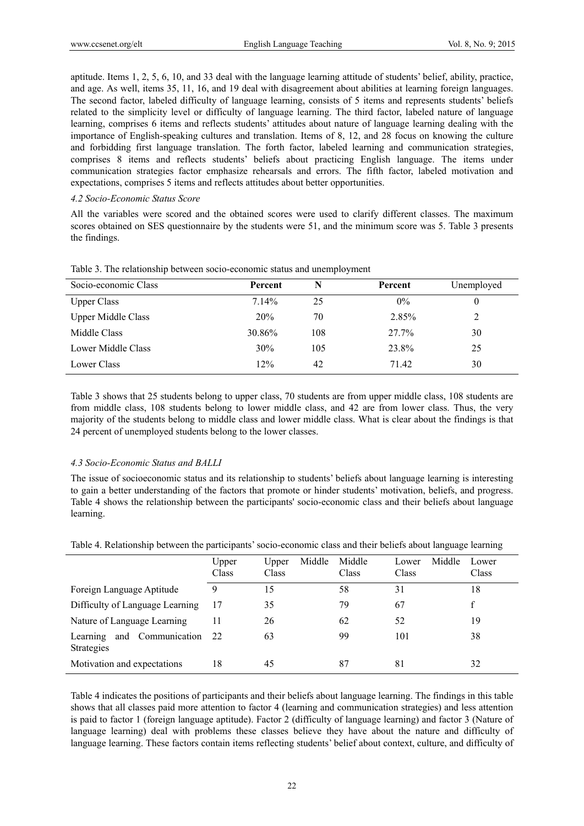aptitude. Items 1, 2, 5, 6, 10, and 33 deal with the language learning attitude of students' belief, ability, practice, and age. As well, items 35, 11, 16, and 19 deal with disagreement about abilities at learning foreign languages. The second factor, labeled difficulty of language learning, consists of 5 items and represents students' beliefs related to the simplicity level or difficulty of language learning. The third factor, labeled nature of language learning, comprises 6 items and reflects students' attitudes about nature of language learning dealing with the importance of English-speaking cultures and translation. Items of 8, 12, and 28 focus on knowing the culture and forbidding first language translation. The forth factor, labeled learning and communication strategies, comprises 8 items and reflects students' beliefs about practicing English language. The items under communication strategies factor emphasize rehearsals and errors. The fifth factor, labeled motivation and expectations, comprises 5 items and reflects attitudes about better opportunities.

## *4.2 Socio-Economic Status Score*

All the variables were scored and the obtained scores were used to clarify different classes. The maximum scores obtained on SES questionnaire by the students were 51, and the minimum score was 5. Table 3 presents the findings.

| Socio-economic Class      | Percent | N   | Percent | Unemployed |
|---------------------------|---------|-----|---------|------------|
| <b>Upper Class</b>        | 7.14%   | 25  | $0\%$   | 0          |
| <b>Upper Middle Class</b> | 20%     | 70  | 2.85%   | 2          |
| Middle Class              | 30.86%  | 108 | 27.7%   | 30         |
| Lower Middle Class        | 30%     | 105 | 23.8%   | 25         |
| Lower Class               | 12%     | 42  | 71.42   | 30         |

Table 3. The relationship between socio-economic status and unemployment

Table 3 shows that 25 students belong to upper class, 70 students are from upper middle class, 108 students are from middle class, 108 students belong to lower middle class, and 42 are from lower class. Thus, the very majority of the students belong to middle class and lower middle class. What is clear about the findings is that 24 percent of unemployed students belong to the lower classes.

# *4.3 Socio-Economic Status and BALLI*

The issue of socioeconomic status and its relationship to students' beliefs about language learning is interesting to gain a better understanding of the factors that promote or hinder students' motivation, beliefs, and progress. Table 4 shows the relationship between the participants' socio-economic class and their beliefs about language learning.

| Table 4. Relationship between the participants' socio-economic class and their beliefs about language learning |  |  |  |
|----------------------------------------------------------------------------------------------------------------|--|--|--|
|                                                                                                                |  |  |  |

|                                                    | Upper<br>Class | Middle<br>Upper<br>Class | Middle<br>Class | Middle<br>Lower<br>Class | Lower<br>Class |
|----------------------------------------------------|----------------|--------------------------|-----------------|--------------------------|----------------|
| Foreign Language Aptitude                          | 9              | 15                       | 58              | 31                       | 18             |
| Difficulty of Language Learning                    | 17             | 35                       | 79              | 67                       | £              |
| Nature of Language Learning                        | 11             | 26                       | 62              | 52                       | 19             |
| and Communication<br>Learning<br><b>Strategies</b> | 22             | 63                       | 99              | 101                      | 38             |
| Motivation and expectations                        | 18             | 45                       | 87              | 81                       | 32             |

Table 4 indicates the positions of participants and their beliefs about language learning. The findings in this table shows that all classes paid more attention to factor 4 (learning and communication strategies) and less attention is paid to factor 1 (foreign language aptitude). Factor 2 (difficulty of language learning) and factor 3 (Nature of language learning) deal with problems these classes believe they have about the nature and difficulty of language learning. These factors contain items reflecting students' belief about context, culture, and difficulty of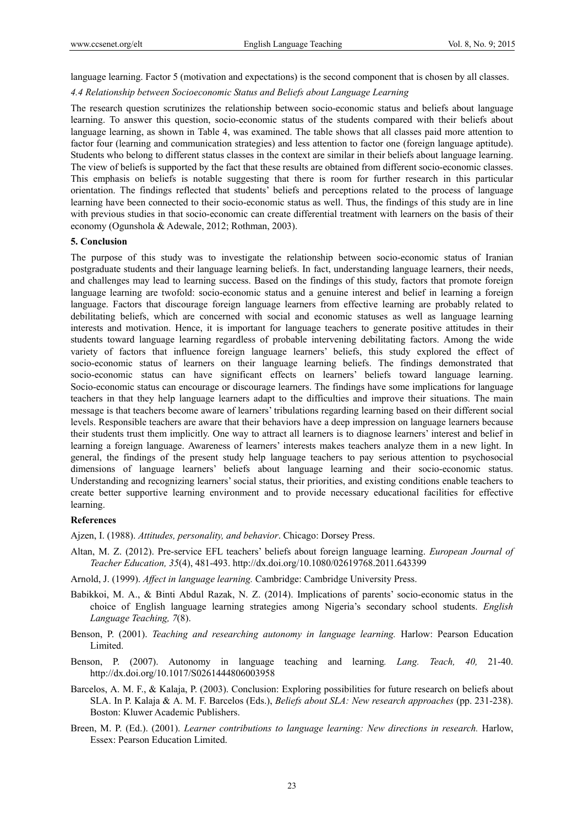language learning. Factor 5 (motivation and expectations) is the second component that is chosen by all classes.

### *4.4 Relationship between Socioeconomic Status and Beliefs about Language Learning*

The research question scrutinizes the relationship between socio-economic status and beliefs about language learning. To answer this question, socio-economic status of the students compared with their beliefs about language learning, as shown in Table 4, was examined. The table shows that all classes paid more attention to factor four (learning and communication strategies) and less attention to factor one (foreign language aptitude). Students who belong to different status classes in the context are similar in their beliefs about language learning. The view of beliefs is supported by the fact that these results are obtained from different socio-economic classes. This emphasis on beliefs is notable suggesting that there is room for further research in this particular orientation. The findings reflected that students' beliefs and perceptions related to the process of language learning have been connected to their socio-economic status as well. Thus, the findings of this study are in line with previous studies in that socio-economic can create differential treatment with learners on the basis of their economy (Ogunshola & Adewale, 2012; Rothman, 2003).

#### **5. Conclusion**

The purpose of this study was to investigate the relationship between socio-economic status of Iranian postgraduate students and their language learning beliefs. In fact, understanding language learners, their needs, and challenges may lead to learning success. Based on the findings of this study, factors that promote foreign language learning are twofold: socio-economic status and a genuine interest and belief in learning a foreign language. Factors that discourage foreign language learners from effective learning are probably related to debilitating beliefs, which are concerned with social and economic statuses as well as language learning interests and motivation. Hence, it is important for language teachers to generate positive attitudes in their students toward language learning regardless of probable intervening debilitating factors. Among the wide variety of factors that influence foreign language learners' beliefs, this study explored the effect of socio-economic status of learners on their language learning beliefs. The findings demonstrated that socio-economic status can have significant effects on learners' beliefs toward language learning. Socio-economic status can encourage or discourage learners. The findings have some implications for language teachers in that they help language learners adapt to the difficulties and improve their situations. The main message is that teachers become aware of learners' tribulations regarding learning based on their different social levels. Responsible teachers are aware that their behaviors have a deep impression on language learners because their students trust them implicitly. One way to attract all learners is to diagnose learners' interest and belief in learning a foreign language. Awareness of learners' interests makes teachers analyze them in a new light. In general, the findings of the present study help language teachers to pay serious attention to psychosocial dimensions of language learners' beliefs about language learning and their socio-economic status. Understanding and recognizing learners' social status, their priorities, and existing conditions enable teachers to create better supportive learning environment and to provide necessary educational facilities for effective learning.

### **References**

Ajzen, I. (1988). *Attitudes, personality, and behavior*. Chicago: Dorsey Press.

Altan, M. Z. (2012). Pre-service EFL teachers' beliefs about foreign language learning. *European Journal of Teacher Education, 35*(4), 481-493. http://dx.doi.org/10.1080/02619768.2011.643399

Arnold, J. (1999). *Affect in language learning.* Cambridge: Cambridge University Press.

- Babikkoi, M. A., & Binti Abdul Razak, N. Z. (2014). Implications of parents' socio-economic status in the choice of English language learning strategies among Nigeria's secondary school students. *English Language Teaching, 7*(8).
- Benson, P. (2001). *Teaching and researching autonomy in language learning.* Harlow: Pearson Education Limited.
- Benson, P. (2007). Autonomy in language teaching and learning*. Lang. Teach, 40,* 21-40. http://dx.doi.org/10.1017/S0261444806003958
- Barcelos, A. M. F., & Kalaja, P. (2003). Conclusion: Exploring possibilities for future research on beliefs about SLA. In P. Kalaja & A. M. F. Barcelos (Eds.), *Beliefs about SLA: New research approaches* (pp. 231-238). Boston: Kluwer Academic Publishers.
- Breen, M. P. (Ed.). (2001). *Learner contributions to language learning: New directions in research.* Harlow, Essex: Pearson Education Limited.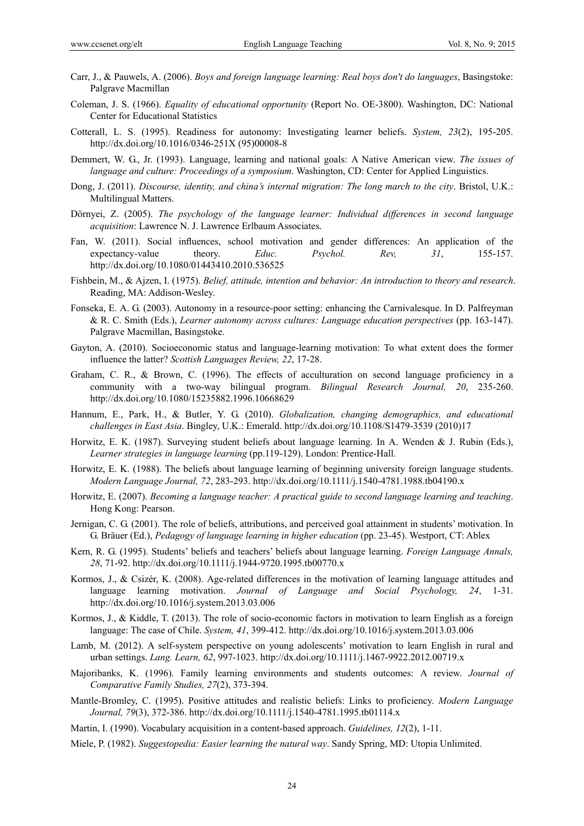- Carr, J., & Pauwels, A. (2006). *Boys and foreign language learning: Real boys don't do languages*, Basingstoke: Palgrave Macmillan
- Coleman, J. S. (1966). *Equality of educational opportunity* (Report No. OE-3800). Washington, DC: National Center for Educational Statistics
- Cotterall, L. S. (1995). Readiness for autonomy: Investigating learner beliefs. *System, 23*(2), 195-205. http://dx.doi.org/10.1016/0346-251X (95)00008-8
- Demmert, W. G., Jr. (1993). Language, learning and national goals: A Native American view. *The issues of language and culture: Proceedings of a symposium*. Washington, CD: Center for Applied Linguistics.
- Dong, J. (2011). *Discourse, identity, and china's internal migration: The long march to the city*. Bristol, U.K.: Multilingual Matters.
- Dörnyei, Z. (2005). *The psychology of the language learner: Individual differences in second language acquisition*: Lawrence N. J. Lawrence Erlbaum Associates.
- Fan, W. (2011). Social influences, school motivation and gender differences: An application of the expectancy-value theory. *Educ. Psychol. Rev, 31*, 155-157. http://dx.doi.org/10.1080/01443410.2010.536525
- Fishbein, M., & Ajzen, I. (1975). *Belief, attitude, intention and behavior: An introduction to theory and research*. Reading, MA: Addison-Wesley.
- Fonseka, E. A. G. (2003). Autonomy in a resource-poor setting: enhancing the Carnivalesque. In D. Palfreyman & R. C. Smith (Eds.), *Learner autonomy across cultures: Language education perspectives* (pp. 163-147). Palgrave Macmillan, Basingstoke.
- Gayton, A. (2010). Socioeconomic status and language-learning motivation: To what extent does the former influence the latter? *Scottish Languages Review, 22*, 17-28.
- Graham, C. R., & Brown, C. (1996). The effects of acculturation on second language proficiency in a community with a two-way bilingual program. *Bilingual Research Journal, 20*, 235-260. http://dx.doi.org/10.1080/15235882.1996.10668629
- Hannum, E., Park, H., & Butler, Y. G. (2010). *Globalization, changing demographics, and educational challenges in East Asia*. Bingley, U.K.: Emerald. http://dx.doi.org/10.1108/S1479-3539 (2010)17
- Horwitz, E. K. (1987). Surveying student beliefs about language learning. In A. Wenden & J. Rubin (Eds.), *Learner strategies in language learning* (pp.119-129). London: Prentice-Hall.
- Horwitz, E. K. (1988). The beliefs about language learning of beginning university foreign language students. *Modern Language Journal, 72*, 283-293. http://dx.doi.org/10.1111/j.1540-4781.1988.tb04190.x
- Horwitz, E. (2007). *Becoming a language teacher: A practical guide to second language learning and teaching*. Hong Kong: Pearson.
- Jernigan, C. G. (2001). The role of beliefs, attributions, and perceived goal attainment in students' motivation. In G. Bräuer (Ed.), *Pedagogy of language learning in higher education* (pp. 23-45). Westport, CT: Ablex
- Kern, R. G. (1995). Students' beliefs and teachers' beliefs about language learning. *Foreign Language Annals, 28*, 71-92. http://dx.doi.org/10.1111/j.1944-9720.1995.tb00770.x
- Kormos, J., & Csizér, K. (2008). Age-related differences in the motivation of learning language attitudes and language learning motivation. *Journal of Language and Social Psychology, 24*, 1-31. http://dx.doi.org/10.1016/j.system.2013.03.006
- Kormos, J., & Kiddle, T. (2013). The role of socio-economic factors in motivation to learn English as a foreign language: The case of Chile. *System, 41*, 399-412. http://dx.doi.org/10.1016/j.system.2013.03.006
- Lamb, M. (2012). A self-system perspective on young adolescents' motivation to learn English in rural and urban settings. *Lang. Learn, 62*, 997-1023. http://dx.doi.org/10.1111/j.1467-9922.2012.00719.x
- Majoribanks, K. (1996). Family learning environments and students outcomes: A review. *Journal of Comparative Family Studies, 27*(2), 373-394.
- Mantle-Bromley, C. (1995). Positive attitudes and realistic beliefs: Links to proficiency. *Modern Language Journal, 79*(3), 372-386. http://dx.doi.org/10.1111/j.1540-4781.1995.tb01114.x
- Martin, I. (1990). Vocabulary acquisition in a content-based approach. *Guidelines, 12*(2), 1-11.
- Miele, P. (1982). *Suggestopedia: Easier learning the natural way*. Sandy Spring, MD: Utopia Unlimited.